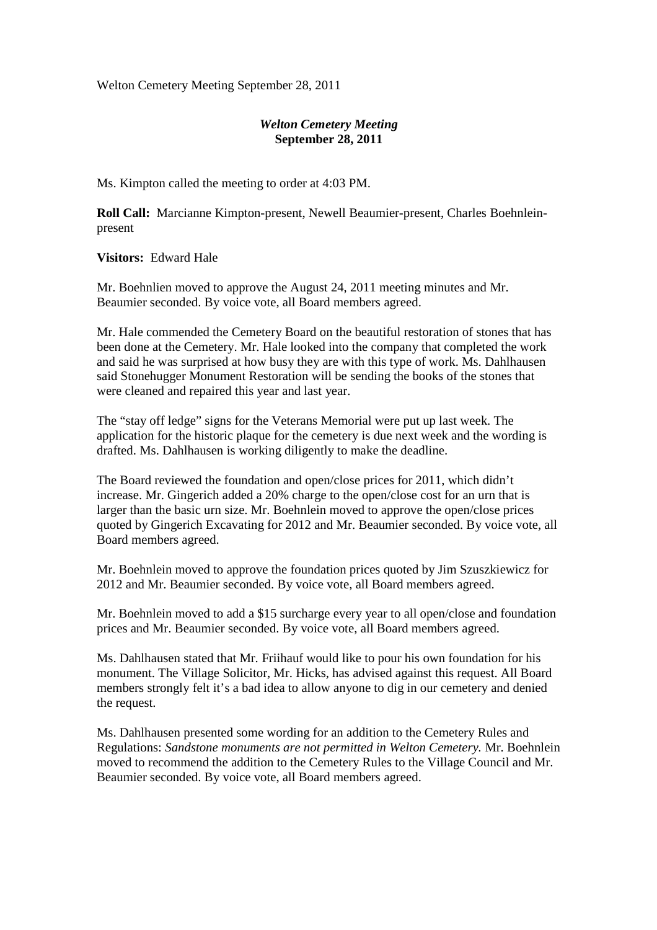Welton Cemetery Meeting September 28, 2011

## *Welton Cemetery Meeting*  **September 28, 2011**

Ms. Kimpton called the meeting to order at 4:03 PM.

**Roll Call:** Marcianne Kimpton-present, Newell Beaumier-present, Charles Boehnleinpresent

**Visitors:** Edward Hale

Mr. Boehnlien moved to approve the August 24, 2011 meeting minutes and Mr. Beaumier seconded. By voice vote, all Board members agreed.

Mr. Hale commended the Cemetery Board on the beautiful restoration of stones that has been done at the Cemetery. Mr. Hale looked into the company that completed the work and said he was surprised at how busy they are with this type of work. Ms. Dahlhausen said Stonehugger Monument Restoration will be sending the books of the stones that were cleaned and repaired this year and last year.

The "stay off ledge" signs for the Veterans Memorial were put up last week. The application for the historic plaque for the cemetery is due next week and the wording is drafted. Ms. Dahlhausen is working diligently to make the deadline.

The Board reviewed the foundation and open/close prices for 2011, which didn't increase. Mr. Gingerich added a 20% charge to the open/close cost for an urn that is larger than the basic urn size. Mr. Boehnlein moved to approve the open/close prices quoted by Gingerich Excavating for 2012 and Mr. Beaumier seconded. By voice vote, all Board members agreed.

Mr. Boehnlein moved to approve the foundation prices quoted by Jim Szuszkiewicz for 2012 and Mr. Beaumier seconded. By voice vote, all Board members agreed.

Mr. Boehnlein moved to add a \$15 surcharge every year to all open/close and foundation prices and Mr. Beaumier seconded. By voice vote, all Board members agreed.

Ms. Dahlhausen stated that Mr. Friihauf would like to pour his own foundation for his monument. The Village Solicitor, Mr. Hicks, has advised against this request. All Board members strongly felt it's a bad idea to allow anyone to dig in our cemetery and denied the request.

Ms. Dahlhausen presented some wording for an addition to the Cemetery Rules and Regulations: *Sandstone monuments are not permitted in Welton Cemetery.* Mr. Boehnlein moved to recommend the addition to the Cemetery Rules to the Village Council and Mr. Beaumier seconded. By voice vote, all Board members agreed.